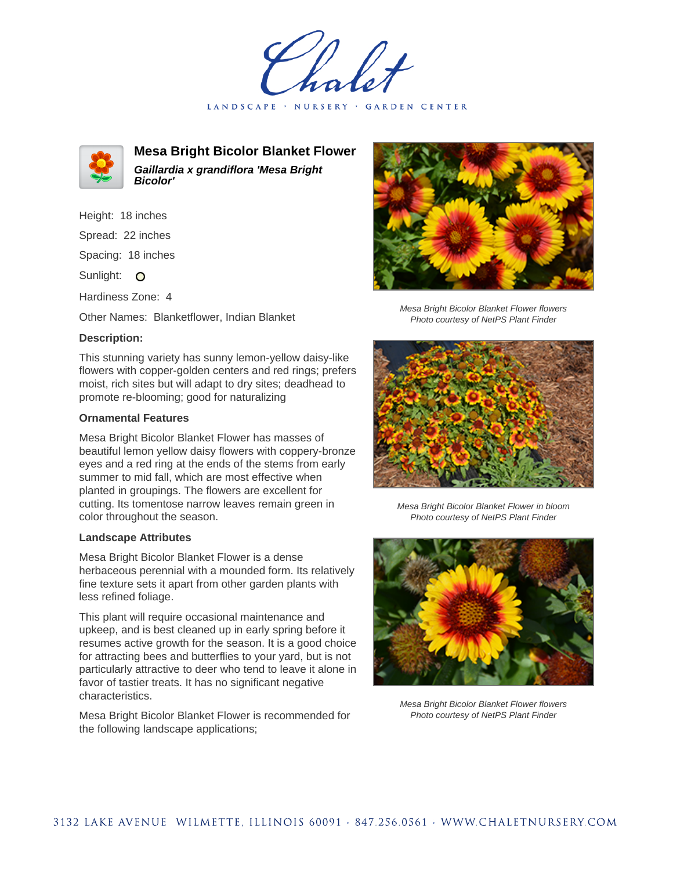LANDSCAPE · NURSERY · GARDEN CENTER



**Mesa Bright Bicolor Blanket Flower Gaillardia x grandiflora 'Mesa Bright Bicolor'**

Height: 18 inches Spread: 22 inches

Spacing: 18 inches

Sunlight: O

Hardiness Zone: 4

Other Names: Blanketflower, Indian Blanket

## **Description:**

This stunning variety has sunny lemon-yellow daisy-like flowers with copper-golden centers and red rings; prefers moist, rich sites but will adapt to dry sites; deadhead to promote re-blooming; good for naturalizing

## **Ornamental Features**

Mesa Bright Bicolor Blanket Flower has masses of beautiful lemon yellow daisy flowers with coppery-bronze eyes and a red ring at the ends of the stems from early summer to mid fall, which are most effective when planted in groupings. The flowers are excellent for cutting. Its tomentose narrow leaves remain green in color throughout the season.

## **Landscape Attributes**

Mesa Bright Bicolor Blanket Flower is a dense herbaceous perennial with a mounded form. Its relatively fine texture sets it apart from other garden plants with less refined foliage.

This plant will require occasional maintenance and upkeep, and is best cleaned up in early spring before it resumes active growth for the season. It is a good choice for attracting bees and butterflies to your yard, but is not particularly attractive to deer who tend to leave it alone in favor of tastier treats. It has no significant negative characteristics.

Mesa Bright Bicolor Blanket Flower is recommended for the following landscape applications;



Mesa Bright Bicolor Blanket Flower flowers Photo courtesy of NetPS Plant Finder



Mesa Bright Bicolor Blanket Flower in bloom Photo courtesy of NetPS Plant Finder



Mesa Bright Bicolor Blanket Flower flowers Photo courtesy of NetPS Plant Finder